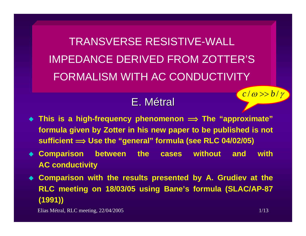TRANSVERSE RESISTIVE-WALL IMPEDANCE DERIVED FROM ZOTTER'SFORMALISM WITH AC CONDUCTIVITY

# E.Métral

- **This is a high-frequency phenomenon î The "approximate" formula given by Zotter in his new paper to be published is not sufficient î Use the "general" formula (see RLC 04/02/05)**
- **Comparison between the cases without and with AC conductivity**
- **Comparison with the results presented by A. Grudiev at the RLC meeting on 18/03/05 using Bane's formula (SLAC/AP-87 (1991))**

Elias Métral, RLC meeting, 22/04/2005 1/13

*c* / ω >> *b* / γ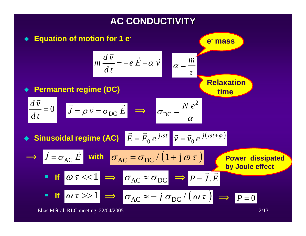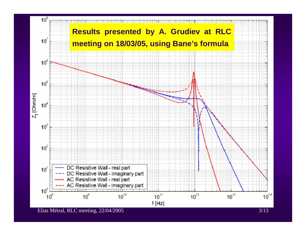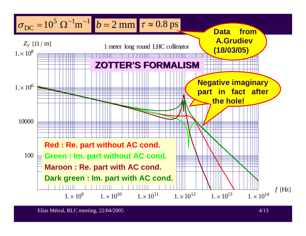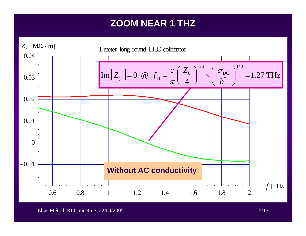## **ZOOM NEAR 1 THZ ZOOM NEAR 1 THZ**



Elias Métral, RLC meeting, 22/04/2005 5/13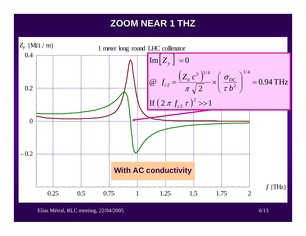## **ZOOM NEAR 1 THZ ZOOM NEAR 1 THZ**



Elias Métral, RLC meeting, 22/04/2005 6/13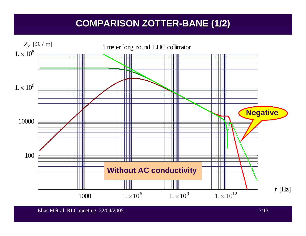## **COMPARISON ZOTTER COMPARISON ZOTTER -BANE (1/2) BANE (1/2)**

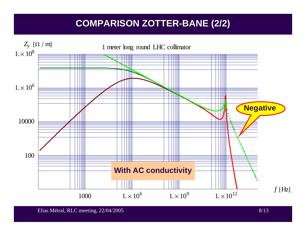## **COMPARISON ZOTTER COMPARISON ZOTTER -BANE (2/2) BANE (2/2)**

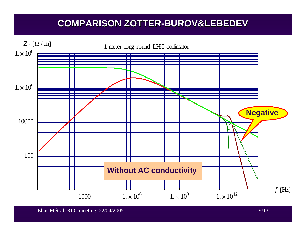## **COMPARISON ZOTTER COMPARISON ZOTTER-BUROV&LEBEDEV BUROV&LEBEDEV**

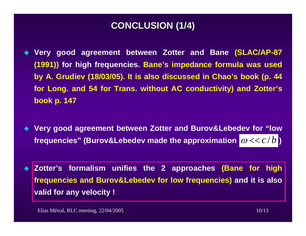### **CONCLUSION (1/4) CONCLUSION (1/4)**

- ♦ **Very good agreement between Zotter and Bane (SLAC/AP-87 (1991)) for high frequencies. Bane's impedance formula was used by A. Grudiev (18/03/05). It is also discussed in Chao's book (p. 44 for Long. and 54 for Trans. without AC conductivity) and Zotter's book p. 147**
- $\blacklozenge$  **Very good agreement between Zotter and Burov&Lebedev for "low**  frequencies" (Burov&Lebedev made the approximation  $|\boldsymbol{\omega} << c/b|$ )
- ♦ **Zotter's formalism unifies the 2 approaches (Bane for high frequencies and Burov&Lebedev for low frequencies) and it is also valid for any velocity !**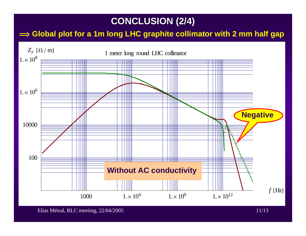## **CONCLUSION (2/4) CONCLUSION (2/4)**

#### $\implies$  Global plot for a 1m long LHC graphite collimator with 2 mm half gap



Elias Métral, RLC meeting, 22/04/2005 11/13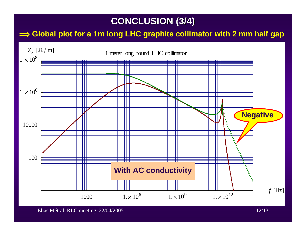## **CONCLUSION (3/4) CONCLUSION (3/4)**

#### $\implies$  Global plot for a 1m long LHC graphite collimator with 2 mm half gap



Elias Métral, RLC meeting, 22/04/2005 12/13